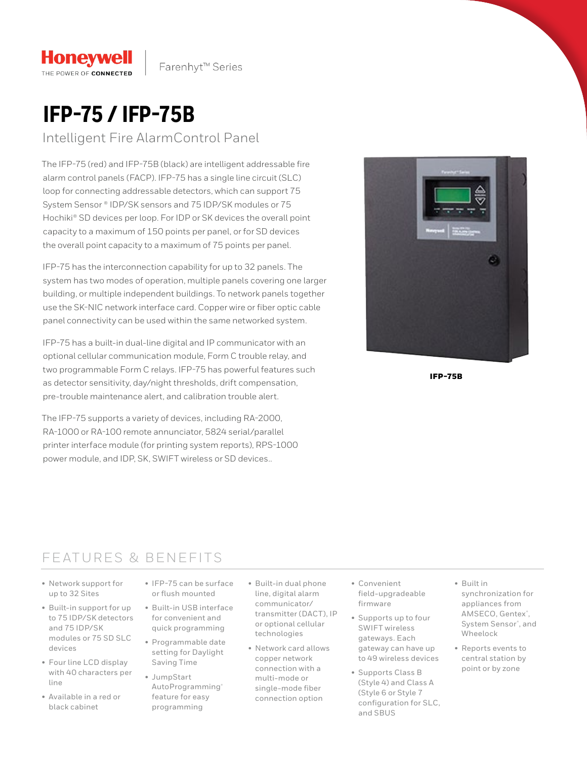# **IFP-75 / IFP-75B**

**Honeywell** 

THE POWER OF CONNECTED

### Intelligent Fire AlarmControl Panel

The IFP-75 (red) and IFP-75B (black) are intelligent addressable fire alarm control panels (FACP). IFP-75 has a single line circuit (SLC) loop for connecting addressable detectors, which can support 75 System Sensor ® IDP/SK sensors and 75 IDP/SK modules or 75 Hochiki® SD devices per loop. For IDP or SK devices the overall point capacity to a maximum of 150 points per panel, or for SD devices the overall point capacity to a maximum of 75 points per panel.

IFP-75 has the interconnection capability for up to 32 panels. The system has two modes of operation, multiple panels covering one larger building, or multiple independent buildings. To network panels together use the SK-NIC network interface card. Copper wire or fiber optic cable panel connectivity can be used within the same networked system.

IFP-75 has a built-in dual-line digital and IP communicator with an optional cellular communication module, Form C trouble relay, and two programmable Form C relays. IFP-75 has powerful features such as detector sensitivity, day/night thresholds, drift compensation, pre-trouble maintenance alert, and calibration trouble alert.

The IFP-75 supports a variety of devices, including RA-2000, RA-1000 or RA-100 remote annunciator, 5824 serial/parallel printer interface module (for printing system reports), RPS-1000 power module, and IDP, SK, SWIFT wireless or SD devices..



IFP-75B

## FEATURES & BENEFITS

- Network support for up to 32 Sites
- Built-in support for up to 75 IDP/SK detectors and 75 IDP/SK modules or 75 SD SLC devices
- Four line LCD display with 40 characters per line
- Available in a red or black cabinet
- IFP-75 can be surface or flush mounted
- Built-in USB interface for convenient and quick programming
- Programmable date setting for Daylight Saving Time
- JumpStart AutoProgramming® feature for easy programming
- Built-in dual phone line, digital alarm communicator/ transmitter (DACT), IP or optional cellular technologies
- Network card allows copper network connection with a multi-mode or single-mode fiber connection option
- Convenient field-upgradeable firmware
- Supports up to four SWIFT wireless gateways. Each gateway can have up to 49 wireless devices
- Supports Class B (Style 4) and Class A (Style 6 or Style 7 configuration for SLC, and SBUS
- Built in synchronization for appliances from AMSECO, Gentex® , System Sensor® , and Wheelock
- Reports events to central station by point or by zone